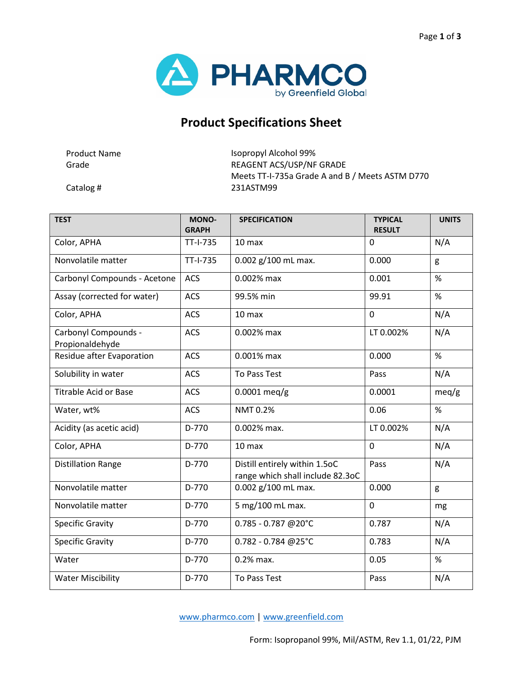

## **Product Specifications Sheet**

Product Name **Isopropyl Alcohol 99%** Grade Grade REAGENT ACS/USP/NF GRADE Meets TT-I-735a Grade A and B / Meets ASTM D770 Catalog # 231ASTM99

| <b>TEST</b>                             | MONO-<br><b>GRAPH</b> | <b>SPECIFICATION</b>                                              | <b>TYPICAL</b><br><b>RESULT</b> | <b>UNITS</b> |
|-----------------------------------------|-----------------------|-------------------------------------------------------------------|---------------------------------|--------------|
| Color, APHA                             | TT-I-735              | 10 max                                                            | 0                               | N/A          |
| Nonvolatile matter                      | TT-I-735              | 0.002 g/100 mL max.                                               | 0.000                           | g            |
| Carbonyl Compounds - Acetone            | ACS                   | 0.002% max                                                        | 0.001                           | %            |
| Assay (corrected for water)             | <b>ACS</b>            | 99.5% min                                                         | 99.91                           | %            |
| Color, APHA                             | <b>ACS</b>            | 10 max                                                            | 0                               | N/A          |
| Carbonyl Compounds -<br>Propionaldehyde | ACS                   | 0.002% max                                                        | LT 0.002%                       | N/A          |
| Residue after Evaporation               | <b>ACS</b>            | 0.001% max                                                        | 0.000                           | $\%$         |
| Solubility in water                     | <b>ACS</b>            | <b>To Pass Test</b>                                               | Pass                            | N/A          |
| <b>Titrable Acid or Base</b>            | <b>ACS</b>            | $0.0001$ meq/g                                                    | 0.0001                          | meq/g        |
| Water, wt%                              | <b>ACS</b>            | <b>NMT 0.2%</b>                                                   | 0.06                            | %            |
| Acidity (as acetic acid)                | D-770                 | 0.002% max.                                                       | LT 0.002%                       | N/A          |
| Color, APHA                             | D-770                 | 10 max                                                            | 0                               | N/A          |
| <b>Distillation Range</b>               | D-770                 | Distill entirely within 1.5oC<br>range which shall include 82.3oC | Pass                            | N/A          |
| Nonvolatile matter                      | D-770                 | 0.002 g/100 mL max.                                               | 0.000                           | g            |
| Nonvolatile matter                      | $D-770$               | 5 mg/100 mL max.                                                  | $\mathbf 0$                     | mg           |
| <b>Specific Gravity</b>                 | D-770                 | 0.785 - 0.787 @20°C                                               | 0.787                           | N/A          |
| <b>Specific Gravity</b>                 | D-770                 | 0.782 - 0.784 @25°C                                               | 0.783                           | N/A          |
| Water                                   | D-770                 | $0.2%$ max.                                                       | 0.05                            | %            |
| <b>Water Miscibility</b>                | D-770                 | To Pass Test                                                      | Pass                            | N/A          |

[www.pharmco.com](http://www.pharmco.com/) | [www.greenfield.com](http://www.greenfield.com/)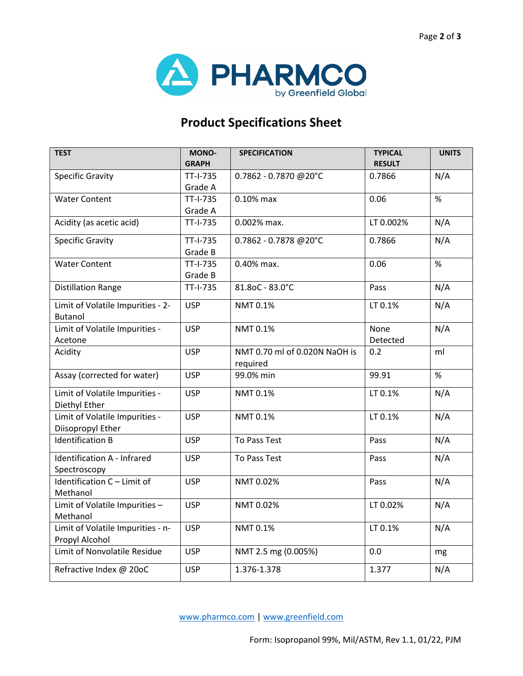

## **Product Specifications Sheet**

| <b>TEST</b>                                         | MONO-<br><b>GRAPH</b> | <b>SPECIFICATION</b>                      | <b>TYPICAL</b><br><b>RESULT</b> | <b>UNITS</b> |
|-----------------------------------------------------|-----------------------|-------------------------------------------|---------------------------------|--------------|
| <b>Specific Gravity</b>                             | TT-I-735<br>Grade A   | 0.7862 - 0.7870 @20°C                     | 0.7866                          | N/A          |
| <b>Water Content</b>                                | TT-I-735<br>Grade A   | 0.10% max                                 | 0.06                            | %            |
| Acidity (as acetic acid)                            | TT-I-735              | 0.002% max.                               | LT 0.002%                       | N/A          |
| <b>Specific Gravity</b>                             | TT-I-735<br>Grade B   | 0.7862 - 0.7878 @20°C                     | 0.7866                          | N/A          |
| <b>Water Content</b>                                | TT-I-735<br>Grade B   | 0.40% max.                                | 0.06                            | %            |
| <b>Distillation Range</b>                           | TT-I-735              | 81.8oC - 83.0°C                           | Pass                            | N/A          |
| Limit of Volatile Impurities - 2-<br><b>Butanol</b> | <b>USP</b>            | NMT 0.1%                                  | LT 0.1%                         | N/A          |
| Limit of Volatile Impurities -<br>Acetone           | <b>USP</b>            | NMT 0.1%                                  | None<br>Detected                | N/A          |
| Acidity                                             | <b>USP</b>            | NMT 0.70 ml of 0.020N NaOH is<br>required | 0.2                             | ml           |
| Assay (corrected for water)                         | <b>USP</b>            | 99.0% min                                 | 99.91                           | %            |
| Limit of Volatile Impurities -<br>Diethyl Ether     | <b>USP</b>            | NMT 0.1%                                  | LT 0.1%                         | N/A          |
| Limit of Volatile Impurities -<br>Diisopropyl Ether | <b>USP</b>            | NMT 0.1%                                  | LT 0.1%                         | N/A          |
| <b>Identification B</b>                             | <b>USP</b>            | <b>To Pass Test</b>                       | Pass                            | N/A          |
| Identification A - Infrared<br>Spectroscopy         | <b>USP</b>            | <b>To Pass Test</b>                       | Pass                            | N/A          |
| Identification C - Limit of<br>Methanol             | <b>USP</b>            | NMT 0.02%                                 | Pass                            | N/A          |
| Limit of Volatile Impurities -<br>Methanol          | <b>USP</b>            | NMT 0.02%                                 | LT 0.02%                        | N/A          |
| Limit of Volatile Impurities - n-<br>Propyl Alcohol | <b>USP</b>            | NMT 0.1%                                  | LT 0.1%                         | N/A          |
| Limit of Nonvolatile Residue                        | <b>USP</b>            | NMT 2.5 mg (0.005%)                       | 0.0                             | mg           |
| Refractive Index @ 20oC                             | <b>USP</b>            | 1.376-1.378                               | 1.377                           | N/A          |

[www.pharmco.com](http://www.pharmco.com/) | [www.greenfield.com](http://www.greenfield.com/)